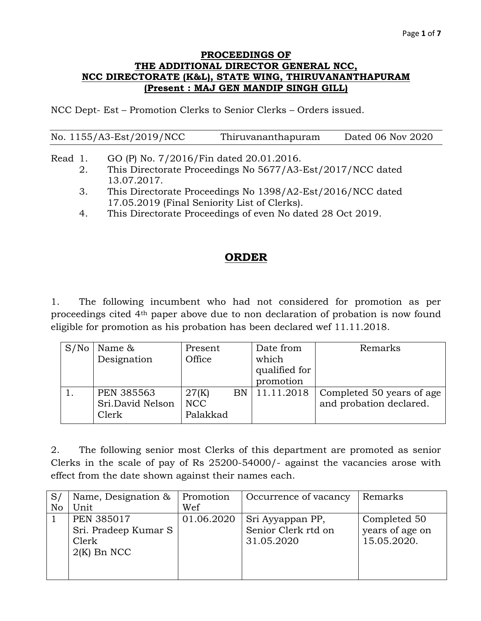## **PROCEEDINGS OF THE ADDITIONAL DIRECTOR GENERAL NCC, NCC DIRECTORATE (K&L), STATE WING, THIRUVANANTHAPURAM (Present : MAJ GEN MANDIP SINGH GILL)**

NCC Dept- Est – Promotion Clerks to Senior Clerks – Orders issued.

- Read 1. GO (P) No. 7/2016/Fin dated 20.01.2016.
	- 2. This Directorate Proceedings No 5677/A3-Est/2017/NCC dated 13.07.2017.
	- 3. This Directorate Proceedings No 1398/A2-Est/2016/NCC dated 17.05.2019 (Final Seniority List of Clerks).
	- 4. This Directorate Proceedings of even No dated 28 Oct 2019.

## **ORDER**

1. The following incumbent who had not considered for promotion as per proceedings cited 4th paper above due to non declaration of probation is now found eligible for promotion as his probation has been declared wef 11.11.2018.

| S/No | Name &            | Present    |           | Date from     | Remarks                   |
|------|-------------------|------------|-----------|---------------|---------------------------|
|      | Designation       | Office     |           | which         |                           |
|      |                   |            |           | qualified for |                           |
|      |                   |            |           | promotion     |                           |
|      | <b>PEN 385563</b> | 27(K)      | <b>BN</b> | 11.11.2018    | Completed 50 years of age |
|      | Sri.David Nelson  | <b>NCC</b> |           |               | and probation declared.   |
|      | Clerk             | Palakkad   |           |               |                           |

2. The following senior most Clerks of this department are promoted as senior Clerks in the scale of pay of Rs 25200-54000/- against the vacancies arose with effect from the date shown against their names each.

| S  | Name, Designation &  | Promotion  | Occurrence of vacancy | Remarks         |
|----|----------------------|------------|-----------------------|-----------------|
| No | Unit                 | Wef        |                       |                 |
|    | <b>PEN 385017</b>    | 01.06.2020 | Sri Ayyappan PP,      | Completed 50    |
|    | Sri. Pradeep Kumar S |            | Senior Clerk rtd on   | years of age on |
|    | Clerk                |            | 31.05.2020            | 15.05.2020.     |
|    | $2(K)$ Bn NCC        |            |                       |                 |
|    |                      |            |                       |                 |
|    |                      |            |                       |                 |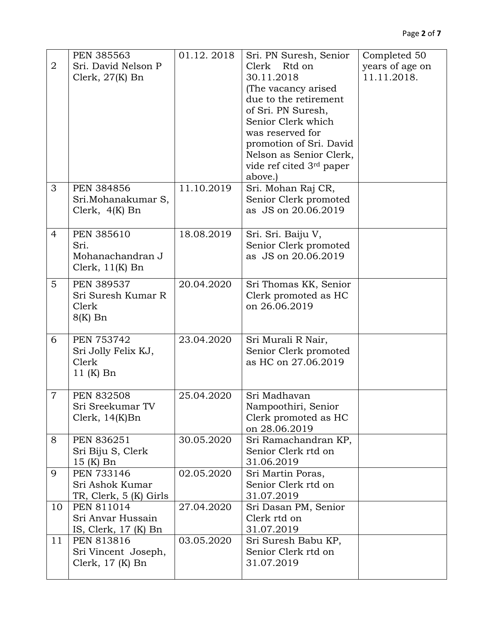| 2              | <b>PEN 385563</b><br>Sri. David Nelson P | 01.12.2018 | Sri. PN Suresh, Senior<br>Clerk Rtd on              | Completed 50                   |
|----------------|------------------------------------------|------------|-----------------------------------------------------|--------------------------------|
|                | Clerk, $27(K)$ Bn                        |            | 30.11.2018                                          | years of age on<br>11.11.2018. |
|                |                                          |            | (The vacancy arised)                                |                                |
|                |                                          |            | due to the retirement                               |                                |
|                |                                          |            | of Sri. PN Suresh,                                  |                                |
|                |                                          |            | Senior Clerk which                                  |                                |
|                |                                          |            | was reserved for                                    |                                |
|                |                                          |            | promotion of Sri. David                             |                                |
|                |                                          |            | Nelson as Senior Clerk,<br>vide ref cited 3rd paper |                                |
|                |                                          |            | above.)                                             |                                |
| 3              | <b>PEN 384856</b>                        | 11.10.2019 | Sri. Mohan Raj CR,                                  |                                |
|                | Sri.Mohanakumar S,                       |            | Senior Clerk promoted                               |                                |
|                | Clerk, 4(K) Bn                           |            | as JS on 20.06.2019                                 |                                |
| 4              | <b>PEN 385610</b>                        | 18.08.2019 | Sri. Sri. Baiju V,                                  |                                |
|                | Sri.                                     |            | Senior Clerk promoted                               |                                |
|                | Mohanachandran J<br>Clerk, $11(K)$ Bn    |            | as JS on 20.06.2019                                 |                                |
| 5              | <b>PEN 389537</b>                        | 20.04.2020 |                                                     |                                |
|                | Sri Suresh Kumar R                       |            | Sri Thomas KK, Senior<br>Clerk promoted as HC       |                                |
|                | Clerk                                    |            | on 26.06.2019                                       |                                |
|                | $8(K)$ Bn                                |            |                                                     |                                |
| 6              | <b>PEN 753742</b>                        | 23.04.2020 |                                                     |                                |
|                | Sri Jolly Felix KJ,                      |            | Sri Murali R Nair,<br>Senior Clerk promoted         |                                |
|                | Clerk                                    |            | as HC on 27.06.2019                                 |                                |
|                | $11 (K)$ Bn                              |            |                                                     |                                |
|                |                                          |            |                                                     |                                |
| $\overline{7}$ | <b>PEN 832508</b><br>Sri Sreekumar TV    | 25.04.2020 | Sri Madhavan<br>Nampoothiri, Senior                 |                                |
|                | Clerk, $14(K)$ Bn                        |            | Clerk promoted as HC                                |                                |
|                |                                          |            | on 28.06.2019                                       |                                |
| 8              | <b>PEN 836251</b>                        | 30.05.2020 | Sri Ramachandran KP,                                |                                |
|                | Sri Biju S, Clerk                        |            | Senior Clerk rtd on                                 |                                |
|                | $15(K)$ Bn                               |            | 31.06.2019                                          |                                |
| 9              | <b>PEN 733146</b><br>Sri Ashok Kumar     | 02.05.2020 | Sri Martin Poras,<br>Senior Clerk rtd on            |                                |
|                | TR, Clerk, 5 (K) Girls                   |            | 31.07.2019                                          |                                |
| 10             | PEN 811014                               | 27.04.2020 | Sri Dasan PM, Senior                                |                                |
|                | Sri Anvar Hussain                        |            | Clerk rtd on                                        |                                |
|                | IS, Clerk, $17(K)$ Bn                    |            | 31.07.2019                                          |                                |
| 11             | <b>PEN 813816</b>                        | 03.05.2020 | Sri Suresh Babu KP,                                 |                                |
|                | Sri Vincent Joseph,<br>Clerk, $17(K)$ Bn |            | Senior Clerk rtd on<br>31.07.2019                   |                                |
|                |                                          |            |                                                     |                                |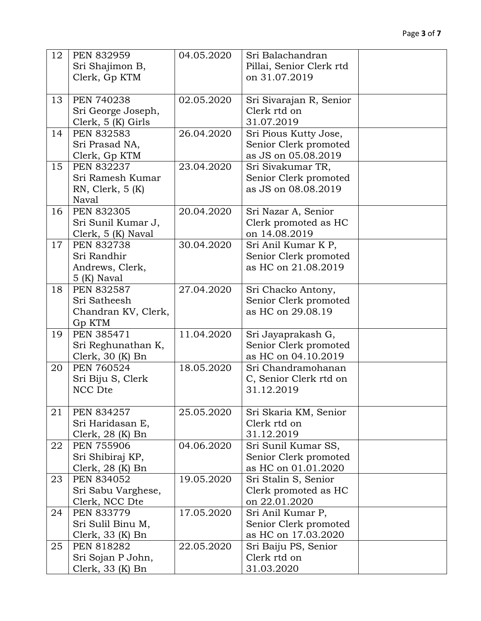| 12 | <b>PEN 832959</b>     | 04.05.2020 | Sri Balachandran         |  |
|----|-----------------------|------------|--------------------------|--|
|    | Sri Shajimon B,       |            | Pillai, Senior Clerk rtd |  |
|    | Clerk, Gp KTM         |            | on 31.07.2019            |  |
|    |                       |            |                          |  |
| 13 | <b>PEN 740238</b>     | 02.05.2020 | Sri Sivarajan R, Senior  |  |
|    | Sri George Joseph,    |            | Clerk rtd on             |  |
|    | Clerk, $5(K)$ Girls   |            | 31.07.2019               |  |
| 14 | <b>PEN 832583</b>     | 26.04.2020 | Sri Pious Kutty Jose,    |  |
|    | Sri Prasad NA,        |            | Senior Clerk promoted    |  |
|    | Clerk, Gp KTM         |            | as JS on 05.08.2019      |  |
| 15 | <b>PEN 832237</b>     | 23.04.2020 | Sri Sivakumar TR,        |  |
|    | Sri Ramesh Kumar      |            | Senior Clerk promoted    |  |
|    | $RN$ , Clerk, 5 $(K)$ |            | as JS on 08.08.2019      |  |
|    | Naval                 |            |                          |  |
| 16 | <b>PEN 832305</b>     | 20.04.2020 | Sri Nazar A, Senior      |  |
|    | Sri Sunil Kumar J,    |            | Clerk promoted as HC     |  |
|    | Clerk, 5 (K) Naval    |            | on 14.08.2019            |  |
| 17 | <b>PEN 832738</b>     | 30.04.2020 | Sri Anil Kumar K P,      |  |
|    | Sri Randhir           |            | Senior Clerk promoted    |  |
|    | Andrews, Clerk,       |            | as HC on 21.08.2019      |  |
|    | 5 (K) Naval           |            |                          |  |
| 18 | <b>PEN 832587</b>     | 27.04.2020 | Sri Chacko Antony,       |  |
|    | Sri Satheesh          |            | Senior Clerk promoted    |  |
|    | Chandran KV, Clerk,   |            | as HC on 29.08.19        |  |
|    | Gp KTM                |            |                          |  |
| 19 | <b>PEN 385471</b>     | 11.04.2020 | Sri Jayaprakash G,       |  |
|    | Sri Reghunathan K,    |            | Senior Clerk promoted    |  |
|    | Clerk, 30 (K) Bn      |            | as HC on 04.10.2019      |  |
| 20 | <b>PEN 760524</b>     | 18.05.2020 | Sri Chandramohanan       |  |
|    | Sri Biju S, Clerk     |            | C, Senior Clerk rtd on   |  |
|    | NCC Dte               |            | 31.12.2019               |  |
|    |                       |            |                          |  |
| 21 | <b>PEN 834257</b>     | 25.05.2020 | Sri Skaria KM, Senior    |  |
|    | Sri Haridasan E,      |            | Clerk rtd on             |  |
|    | Clerk, 28 (K) Bn      |            | 31.12.2019               |  |
| 22 | <b>PEN 755906</b>     | 04.06.2020 | Sri Sunil Kumar SS,      |  |
|    | Sri Shibiraj KP,      |            | Senior Clerk promoted    |  |
|    | Clerk, $28$ (K) Bn    |            | as HC on 01.01.2020      |  |
| 23 | <b>PEN 834052</b>     | 19.05.2020 | Sri Stalin S, Senior     |  |
|    | Sri Sabu Varghese,    |            | Clerk promoted as HC     |  |
|    | Clerk, NCC Dte        |            | on 22.01.2020            |  |
| 24 | <b>PEN 833779</b>     | 17.05.2020 | Sri Anil Kumar P,        |  |
|    | Sri Sulil Binu M,     |            | Senior Clerk promoted    |  |
|    | Clerk, 33 (K) Bn      |            | as HC on 17.03.2020      |  |
| 25 | <b>PEN 818282</b>     | 22.05.2020 | Sri Baiju PS, Senior     |  |
|    | Sri Sojan P John,     |            | Clerk rtd on             |  |
|    | Clerk, $33(K)$ Bn     |            | 31.03.2020               |  |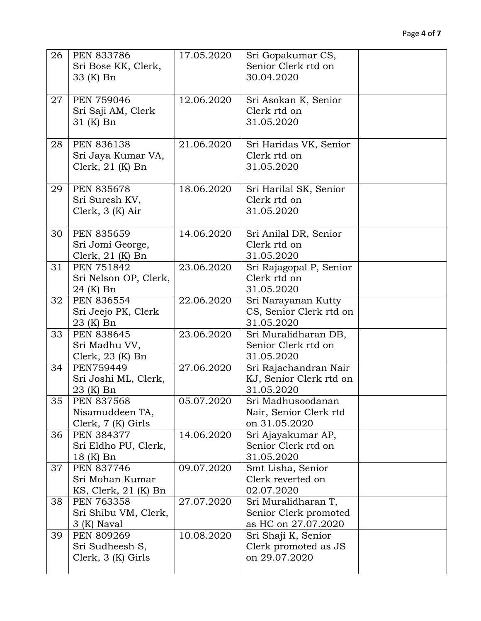| 26 | <b>PEN 833786</b>                       | 17.05.2020 | Sri Gopakumar CS,                         |  |
|----|-----------------------------------------|------------|-------------------------------------------|--|
|    | Sri Bose KK, Clerk,                     |            | Senior Clerk rtd on                       |  |
|    | 33 (K) Bn                               |            | 30.04.2020                                |  |
|    |                                         |            |                                           |  |
| 27 | <b>PEN 759046</b>                       | 12.06.2020 | Sri Asokan K, Senior                      |  |
|    | Sri Saji AM, Clerk                      |            | Clerk rtd on                              |  |
|    | 31 (K) Bn                               |            | 31.05.2020                                |  |
| 28 | <b>PEN 836138</b>                       | 21.06.2020 | Sri Haridas VK, Senior                    |  |
|    | Sri Jaya Kumar VA,                      |            | Clerk rtd on                              |  |
|    | Clerk, $21$ (K) Bn                      |            | 31.05.2020                                |  |
|    |                                         |            |                                           |  |
| 29 | <b>PEN 835678</b>                       | 18.06.2020 | Sri Harilal SK, Senior                    |  |
|    | Sri Suresh KV,                          |            | Clerk rtd on                              |  |
|    | Clerk, 3 (K) Air                        |            | 31.05.2020                                |  |
|    |                                         |            |                                           |  |
| 30 | <b>PEN 835659</b>                       | 14.06.2020 | Sri Anilal DR, Senior<br>Clerk rtd on     |  |
|    | Sri Jomi George,<br>Clerk, 21 (K) Bn    |            | 31.05.2020                                |  |
| 31 | <b>PEN 751842</b>                       | 23.06.2020 | Sri Rajagopal P, Senior                   |  |
|    | Sri Nelson OP, Clerk,                   |            | Clerk rtd on                              |  |
|    | 24 (K) Bn                               |            | 31.05.2020                                |  |
| 32 | <b>PEN 836554</b>                       | 22.06.2020 | Sri Narayanan Kutty                       |  |
|    | Sri Jeejo PK, Clerk                     |            | CS, Senior Clerk rtd on                   |  |
|    | 23 (K) Bn                               |            | 31.05.2020                                |  |
| 33 | <b>PEN 838645</b>                       | 23.06.2020 | Sri Muralidharan DB,                      |  |
|    | Sri Madhu VV,                           |            | Senior Clerk rtd on                       |  |
|    | Clerk, $23$ (K) Bn                      |            | 31.05.2020                                |  |
| 34 | PEN759449                               | 27.06.2020 | Sri Rajachandran Nair                     |  |
|    | Sri Joshi ML, Clerk,                    |            | KJ, Senior Clerk rtd on                   |  |
|    | 23 (K) Bn                               |            | 31.05.2020                                |  |
| 35 | <b>PEN 837568</b>                       | 05.07.2020 | Sri Madhusoodanan                         |  |
|    | Nisamuddeen TA,                         |            | Nair, Senior Clerk rtd                    |  |
|    | Clerk, 7 (K) Girls<br><b>PEN 384377</b> |            | on 31.05.2020                             |  |
| 36 | Sri Eldho PU, Clerk,                    | 14.06.2020 | Sri Ajayakumar AP,<br>Senior Clerk rtd on |  |
|    | 18 (K) Bn                               |            | 31.05.2020                                |  |
| 37 | <b>PEN 837746</b>                       | 09.07.2020 | Smt Lisha, Senior                         |  |
|    | Sri Mohan Kumar                         |            | Clerk reverted on                         |  |
|    | KS, Clerk, $21$ (K) Bn                  |            | 02.07.2020                                |  |
| 38 | <b>PEN 763358</b>                       | 27.07.2020 | Sri Muralidharan T,                       |  |
|    | Sri Shibu VM, Clerk,                    |            | Senior Clerk promoted                     |  |
|    | 3 (K) Naval                             |            | as HC on 27.07.2020                       |  |
| 39 | <b>PEN 809269</b>                       | 10.08.2020 | Sri Shaji K, Senior                       |  |
|    | Sri Sudheesh S,                         |            | Clerk promoted as JS                      |  |
|    | Clerk, $3(K)$ Girls                     |            | on 29.07.2020                             |  |
|    |                                         |            |                                           |  |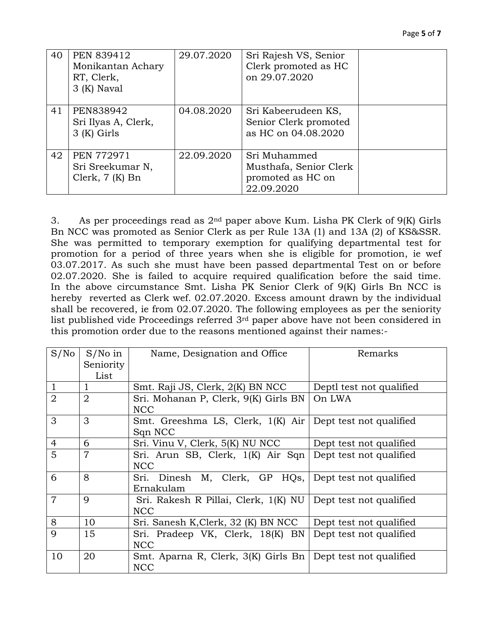| Page 5 of |  |  |  |
|-----------|--|--|--|
|-----------|--|--|--|

| 40 | PEN 839412<br>Monikantan Achary<br>RT, Clerk,<br>3 (K) Naval | 29.07.2020 | Sri Rajesh VS, Senior<br>Clerk promoted as HC<br>on 29.07.2020            |  |
|----|--------------------------------------------------------------|------------|---------------------------------------------------------------------------|--|
| 41 | PEN838942<br>Sri Ilyas A, Clerk,<br>$3(K)$ Girls             | 04.08.2020 | Sri Kabeerudeen KS,<br>Senior Clerk promoted<br>as HC on 04.08.2020       |  |
| 42 | <b>PEN 772971</b><br>Sri Sreekumar N,<br>Clerk, $7(K)$ Bn    | 22.09.2020 | Sri Muhammed<br>Musthafa, Senior Clerk<br>promoted as HC on<br>22.09.2020 |  |

3. As per proceedings read as 2nd paper above Kum. Lisha PK Clerk of 9(K) Girls Bn NCC was promoted as Senior Clerk as per Rule 13A (1) and 13A (2) of KS&SSR. She was permitted to temporary exemption for qualifying departmental test for promotion for a period of three years when she is eligible for promotion, ie wef 03.07.2017. As such she must have been passed departmental Test on or before 02.07.2020. She is failed to acquire required qualification before the said time. In the above circumstance Smt. Lisha PK Senior Clerk of 9(K) Girls Bn NCC is hereby reverted as Clerk wef. 02.07.2020. Excess amount drawn by the individual shall be recovered, ie from 02.07.2020. The following employees as per the seniority list published vide Proceedings referred 3rd paper above have not been considered in this promotion order due to the reasons mentioned against their names:-

| S/No           | $S/No$ in<br>Seniority | Name, Designation and Office                                                | Remarks                  |
|----------------|------------------------|-----------------------------------------------------------------------------|--------------------------|
|                | List                   |                                                                             |                          |
|                | 1                      | Smt. Raji JS, Clerk, 2(K) BN NCC                                            | Deptl test not qualified |
| $\overline{2}$ | $\overline{2}$         | Sri. Mohanan P, Clerk, 9(K) Girls BN<br><b>NCC</b>                          | On LWA                   |
| 3              | 3                      | Smt. Greeshma LS, Clerk, 1(K) Air Dept test not qualified<br>Sqn NCC        |                          |
| 4              | 6                      | Sri. Vinu V, Clerk, 5(K) NU NCC                                             | Dept test not qualified  |
| 5              | $\overline{7}$         | Sri. Arun SB, Clerk, 1(K) Air Sqn Dept test not qualified<br><b>NCC</b>     |                          |
| 6              | 8                      | Sri. Dinesh M, Clerk, GP HQs,<br>Ernakulam                                  | Dept test not qualified  |
| $\overline{7}$ | $\mathbf Q$            | Sri. Rakesh R Pillai, Clerk, 1(K) NU Dept test not qualified<br><b>NCC</b>  |                          |
| 8              | 10                     | Sri. Sanesh K, Clerk, 32 (K) BN NCC                                         | Dept test not qualified  |
| $\overline{Q}$ | 15                     | Sri. Pradeep VK, Clerk, 18(K) BN<br><b>NCC</b>                              | Dept test not qualified  |
| 10             | 20                     | Smt. Aparna R, Clerk, 3(K) Girls Bn   Dept test not qualified<br><b>NCC</b> |                          |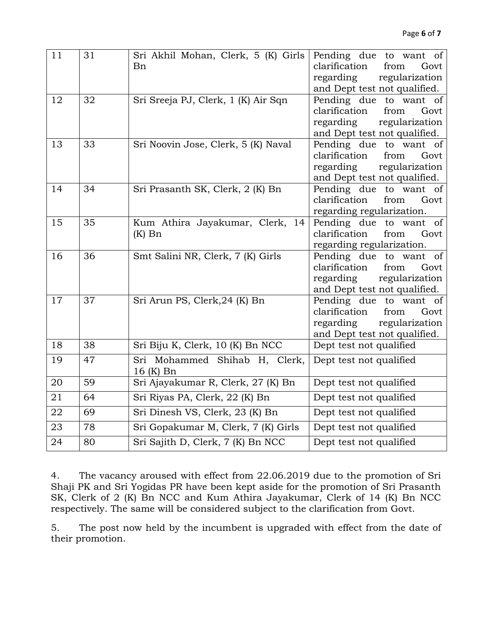## Page **6** of **7**

| 11 | 31 | Sri Akhil Mohan, Clerk, 5 (K) Girls | Pending due to want of                                  |
|----|----|-------------------------------------|---------------------------------------------------------|
|    |    | Bn                                  | clarification<br>from<br>Govt                           |
|    |    |                                     | regarding<br>regularization                             |
|    |    |                                     | and Dept test not qualified.                            |
| 12 | 32 | Sri Sreeja PJ, Clerk, 1 (K) Air Sqn | Pending due to want of                                  |
|    |    |                                     | clarification<br>from<br>Govt                           |
|    |    |                                     | regarding<br>regularization                             |
|    |    |                                     | and Dept test not qualified.                            |
| 13 | 33 | Sri Noovin Jose, Clerk, 5 (K) Naval | Pending due to want of                                  |
|    |    |                                     | clarification<br>from<br>Govt                           |
|    |    |                                     | regularization<br>regarding                             |
|    |    |                                     | and Dept test not qualified.                            |
| 14 | 34 | Sri Prasanth SK, Clerk, 2 (K) Bn    | Pending due to want of                                  |
|    |    |                                     | clarification<br>from<br>Govt                           |
|    |    |                                     | regarding regularization.                               |
| 15 | 35 | Kum Athira Jayakumar, Clerk, 14     | Pending due to want of                                  |
|    |    | $(K)$ Bn                            | clarification<br>from<br>Govt                           |
| 16 | 36 | Smt Salini NR, Clerk, 7 (K) Girls   | regarding regularization.                               |
|    |    |                                     | Pending due to want of<br>clarification<br>from<br>Govt |
|    |    |                                     | regarding<br>regularization                             |
|    |    |                                     | and Dept test not qualified.                            |
| 17 | 37 | Sri Arun PS, Clerk, 24 (K) Bn       | Pending due to want of                                  |
|    |    |                                     | clarification<br>from<br>Govt                           |
|    |    |                                     | regarding<br>regularization                             |
|    |    |                                     | and Dept test not qualified.                            |
| 18 | 38 | Sri Biju K, Clerk, 10 (K) Bn NCC    | Dept test not qualified                                 |
| 19 | 47 | Sri Mohammed Shihab H, Clerk,       | Dept test not qualified                                 |
|    |    | $16(K)$ Bn                          |                                                         |
| 20 | 59 | Sri Ajayakumar R, Clerk, 27 (K) Bn  | Dept test not qualified                                 |
| 21 | 64 | Sri Riyas PA, Clerk, 22 (K) Bn      | Dept test not qualified                                 |
| 22 | 69 | Sri Dinesh VS, Clerk, 23 (K) Bn     | Dept test not qualified                                 |
| 23 | 78 | Sri Gopakumar M, Clerk, 7 (K) Girls | Dept test not qualified                                 |
| 24 | 80 | Sri Sajith D, Clerk, 7 (K) Bn NCC   | Dept test not qualified                                 |

| The vacancy aroused with effect from 22.06.2019 due to the promotion of Sri<br>4.  |
|------------------------------------------------------------------------------------|
| Shaji PK and Sri Yogidas PR have been kept aside for the promotion of Sri Prasanth |
| SK, Clerk of 2 (K) Bn NCC and Kum Athira Jayakumar, Clerk of 14 (K) Bn NCC         |
| respectively. The same will be considered subject to the clarification from Govt.  |

5. The post now held by the incumbent is upgraded with effect from the date of their promotion.